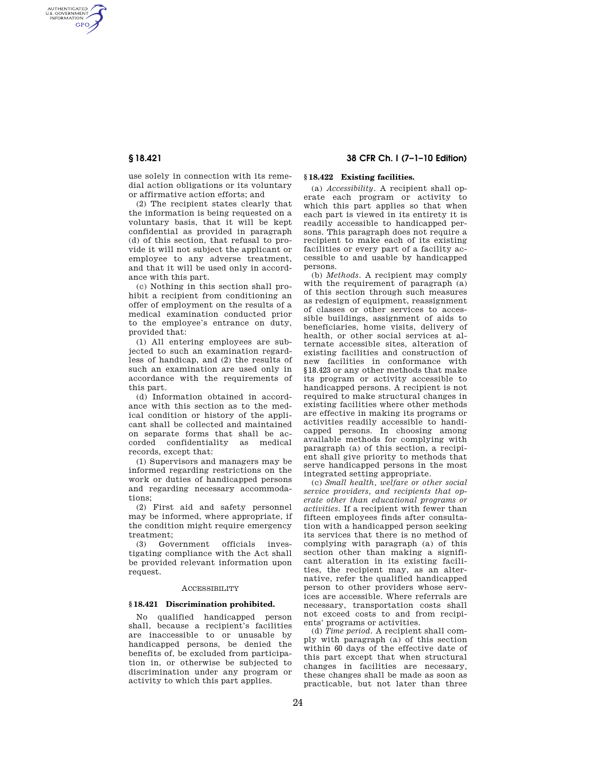AUTHENTICATED<br>U.S. GOVERNMENT<br>INFORMATION **GPO** 

> use solely in connection with its remedial action obligations or its voluntary or affirmative action efforts; and

> (2) The recipient states clearly that the information is being requested on a voluntary basis, that it will be kept confidential as provided in paragraph (d) of this section, that refusal to provide it will not subject the applicant or employee to any adverse treatment, and that it will be used only in accordance with this part.

> (c) Nothing in this section shall prohibit a recipient from conditioning an offer of employment on the results of a medical examination conducted prior to the employee's entrance on duty, provided that:

> (1) All entering employees are subjected to such an examination regardless of handicap, and (2) the results of such an examination are used only in accordance with the requirements of this part.

> (d) Information obtained in accordance with this section as to the medical condition or history of the applicant shall be collected and maintained on separate forms that shall be accorded confidentiality as medical records, except that:

> (1) Supervisors and managers may be informed regarding restrictions on the work or duties of handicapped persons and regarding necessary accommodations;

> (2) First aid and safety personnel may be informed, where appropriate, if the condition might require emergency treatment;

> (3) Government officials investigating compliance with the Act shall be provided relevant information upon request.

## ACCESSIBILITY

## **§ 18.421 Discrimination prohibited.**

No qualified handicapped person shall, because a recipient's facilities are inaccessible to or unusable by handicapped persons, be denied the benefits of, be excluded from participation in, or otherwise be subjected to discrimination under any program or activity to which this part applies.

# **§ 18.421 38 CFR Ch. I (7–1–10 Edition)**

# **§ 18.422 Existing facilities.**

(a) *Accessibility.* A recipient shall operate each program or activity to which this part applies so that when each part is viewed in its entirety it is readily accessible to handicapped persons. This paragraph does not require a recipient to make each of its existing facilities or every part of a facility accessible to and usable by handicapped persons.

(b) *Methods.* A recipient may comply with the requirement of paragraph (a) of this section through such measures as redesign of equipment, reassignment of classes or other services to accessible buildings, assignment of aids to beneficiaries, home visits, delivery of health, or other social services at alternate accessible sites, alteration of existing facilities and construction of new facilities in conformance with §18.423 or any other methods that make its program or activity accessible to handicapped persons. A recipient is not required to make structural changes in existing facilities where other methods are effective in making its programs or activities readily accessible to handicapped persons. In choosing among available methods for complying with paragraph (a) of this section, a recipient shall give priority to methods that serve handicapped persons in the most integrated setting appropriate.

(c) *Small health, welfare or other social service providers, and recipients that operate other than educational programs or activities.* If a recipient with fewer than fifteen employees finds after consultation with a handicapped person seeking its services that there is no method of complying with paragraph (a) of this section other than making a significant alteration in its existing facilities, the recipient may, as an alternative, refer the qualified handicapped person to other providers whose services are accessible. Where referrals are necessary, transportation costs shall not exceed costs to and from recipients' programs or activities.

(d) *Time period.* A recipient shall comply with paragraph (a) of this section within 60 days of the effective date of this part except that when structural changes in facilities are necessary, these changes shall be made as soon as practicable, but not later than three